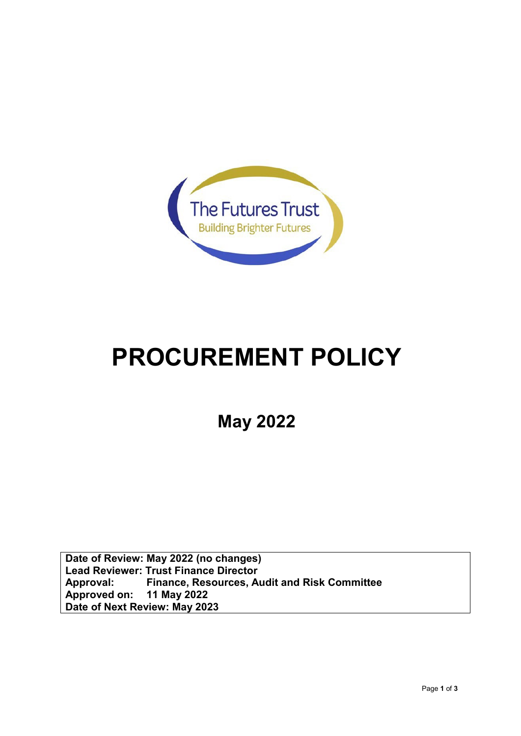

## **PROCUREMENT POLICY**

**May 2022**

**Date of Review: May 2022 (no changes) Lead Reviewer: Trust Finance Director Approval: Finance, Resources, Audit and Risk Committee Approved** on: **Date of Next Review: May 2023**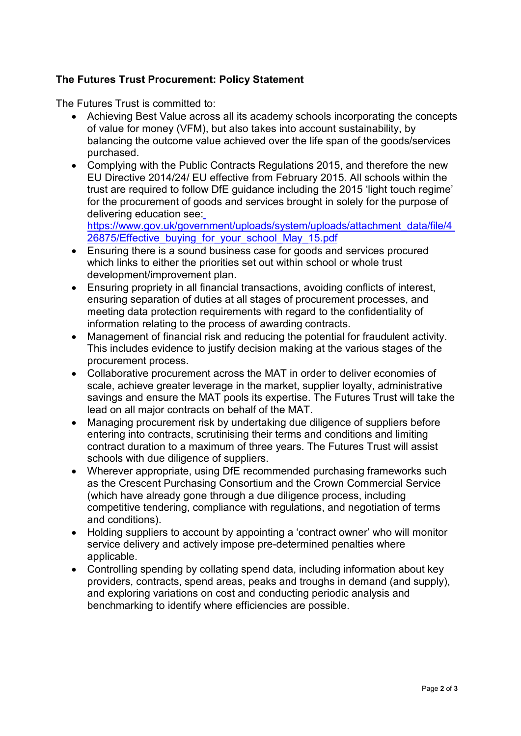## **The Futures Trust Procurement: Policy Statement**

The Futures Trust is committed to:

- Achieving Best Value across all its academy schools incorporating the concepts of value for money (VFM), but also takes into account sustainability, by balancing the outcome value achieved over the life span of the goods/services purchased.
- Complying with the Public Contracts Regulations 2015, and therefore the new EU Directive 2014/24/ EU effective from February 2015. All schools within the trust are required to follow DfE guidance including the 2015 'light touch regime' for the procurement of goods and services brought in solely for the purpose of delivering education see:

[https://www.gov.uk/government/uploads/system/uploads/attachment\\_data/file/4](https://www.gov.uk/government/uploads/system/uploads/attachment_data/file/426875/Effective_buying_for_your_school_May_15.pdf) [26875/Effective\\_buying\\_for\\_your\\_school\\_May\\_15.pdf](https://www.gov.uk/government/uploads/system/uploads/attachment_data/file/426875/Effective_buying_for_your_school_May_15.pdf)

- Ensuring there is a sound business case for goods and services procured which links to either the priorities set out within school or whole trust development/improvement plan.
- Ensuring propriety in all financial transactions, avoiding conflicts of interest, ensuring separation of duties at all stages of procurement processes, and meeting data protection requirements with regard to the confidentiality of information relating to the process of awarding contracts.
- Management of financial risk and reducing the potential for fraudulent activity. This includes evidence to justify decision making at the various stages of the procurement process.
- Collaborative procurement across the MAT in order to deliver economies of scale, achieve greater leverage in the market, supplier loyalty, administrative savings and ensure the MAT pools its expertise. The Futures Trust will take the lead on all major contracts on behalf of the MAT.
- Managing procurement risk by undertaking due diligence of suppliers before entering into contracts, scrutinising their terms and conditions and limiting contract duration to a maximum of three years. The Futures Trust will assist schools with due diligence of suppliers.
- Wherever appropriate, using DfE recommended purchasing frameworks such as the Crescent Purchasing Consortium and the Crown Commercial Service (which have already gone through a due diligence process, including competitive tendering, compliance with regulations, and negotiation of terms and conditions).
- Holding suppliers to account by appointing a 'contract owner' who will monitor service delivery and actively impose pre-determined penalties where applicable.
- Controlling spending by collating spend data, including information about key providers, contracts, spend areas, peaks and troughs in demand (and supply), and exploring variations on cost and conducting periodic analysis and benchmarking to identify where efficiencies are possible.